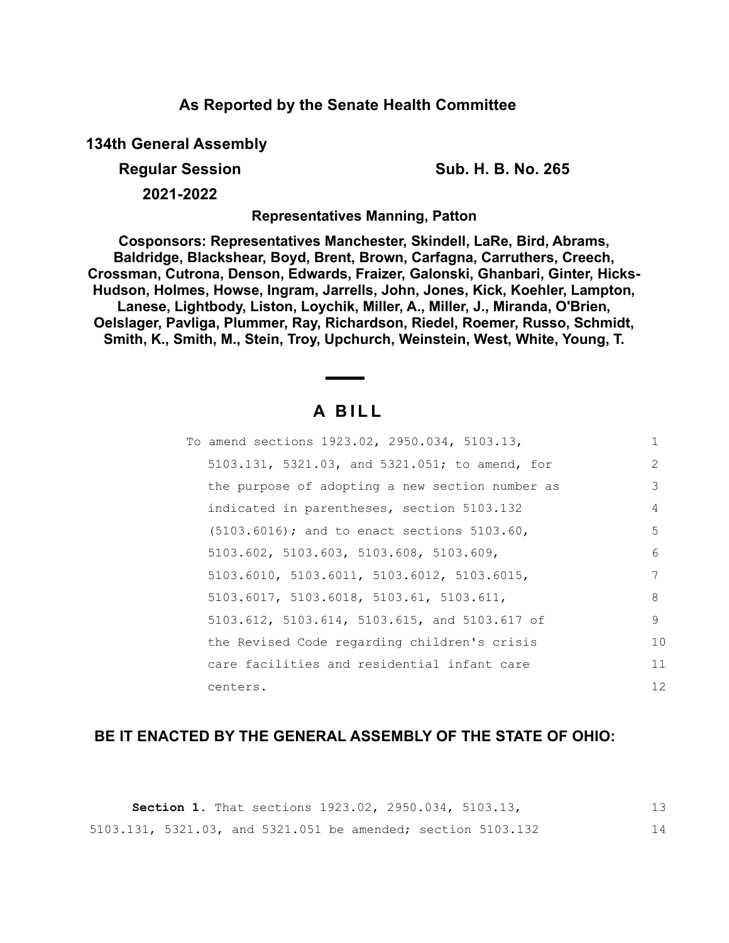## **As Reported by the Senate Health Committee**

**134th General Assembly**

**Regular Session Sub. H. B. No. 265**

**2021-2022**

**Representatives Manning, Patton**

**Cosponsors: Representatives Manchester, Skindell, LaRe, Bird, Abrams, Baldridge, Blackshear, Boyd, Brent, Brown, Carfagna, Carruthers, Creech, Crossman, Cutrona, Denson, Edwards, Fraizer, Galonski, Ghanbari, Ginter, Hicks-Hudson, Holmes, Howse, Ingram, Jarrells, John, Jones, Kick, Koehler, Lampton, Lanese, Lightbody, Liston, Loychik, Miller, A., Miller, J., Miranda, O'Brien, Oelslager, Pavliga, Plummer, Ray, Richardson, Riedel, Roemer, Russo, Schmidt, Smith, K., Smith, M., Stein, Troy, Upchurch, Weinstein, West, White, Young, T.**

# **A B I L L**

| To amend sections 1923.02, 2950.034, 5103.13,   | 1              |
|-------------------------------------------------|----------------|
| 5103.131, 5321.03, and 5321.051; to amend, for  | $\mathfrak{D}$ |
| the purpose of adopting a new section number as | 3              |
| indicated in parentheses, section 5103.132      | 4              |
| $(5103.6016)$ ; and to enact sections 5103.60,  | 5              |
| 5103.602, 5103.603, 5103.608, 5103.609,         | 6              |
| 5103.6010, 5103.6011, 5103.6012, 5103.6015,     | 7              |
| 5103.6017, 5103.6018, 5103.61, 5103.611,        | 8              |
| 5103.612, 5103.614, 5103.615, and 5103.617 of   | 9              |
| the Revised Code regarding children's crisis    | 10             |
| care facilities and residential infant care     | 11             |
| centers.                                        | 12             |

# **BE IT ENACTED BY THE GENERAL ASSEMBLY OF THE STATE OF OHIO:**

|  | <b>Section 1.</b> That sections 1923.02, 2950.034, 5103.13,  |  | 13 |
|--|--------------------------------------------------------------|--|----|
|  | 5103.131, 5321.03, and 5321.051 be amended; section 5103.132 |  | 14 |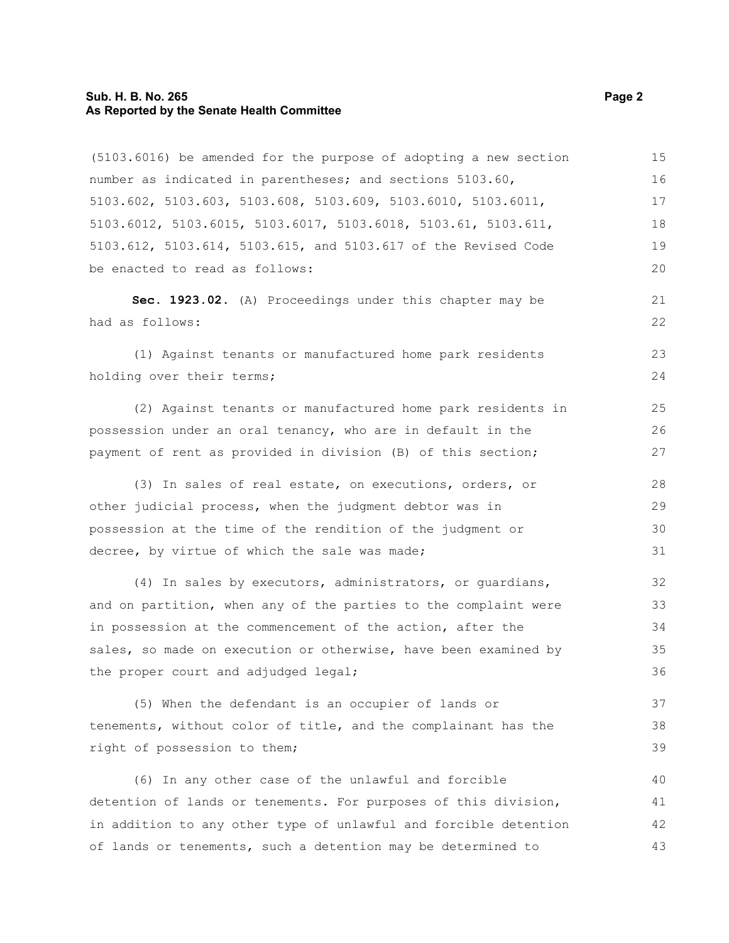#### **Sub. H. B. No. 265 Page 2 As Reported by the Senate Health Committee**

(5103.6016) be amended for the purpose of adopting a new section number as indicated in parentheses; and sections 5103.60, 5103.602, 5103.603, 5103.608, 5103.609, 5103.6010, 5103.6011, 5103.6012, 5103.6015, 5103.6017, 5103.6018, 5103.61, 5103.611, 5103.612, 5103.614, 5103.615, and 5103.617 of the Revised Code be enacted to read as follows: 15 16 17 18 19 20

**Sec. 1923.02.** (A) Proceedings under this chapter may be had as follows:

(1) Against tenants or manufactured home park residents holding over their terms;

(2) Against tenants or manufactured home park residents in possession under an oral tenancy, who are in default in the payment of rent as provided in division (B) of this section;

(3) In sales of real estate, on executions, orders, or other judicial process, when the judgment debtor was in possession at the time of the rendition of the judgment or decree, by virtue of which the sale was made; 28 29 30 31

(4) In sales by executors, administrators, or guardians, and on partition, when any of the parties to the complaint were in possession at the commencement of the action, after the sales, so made on execution or otherwise, have been examined by the proper court and adjudged legal; 32 33 34 35 36

(5) When the defendant is an occupier of lands or tenements, without color of title, and the complainant has the right of possession to them; 38

(6) In any other case of the unlawful and forcible detention of lands or tenements. For purposes of this division, in addition to any other type of unlawful and forcible detention of lands or tenements, such a detention may be determined to 40 41 42 43

21 22

23 24

25 26 27

37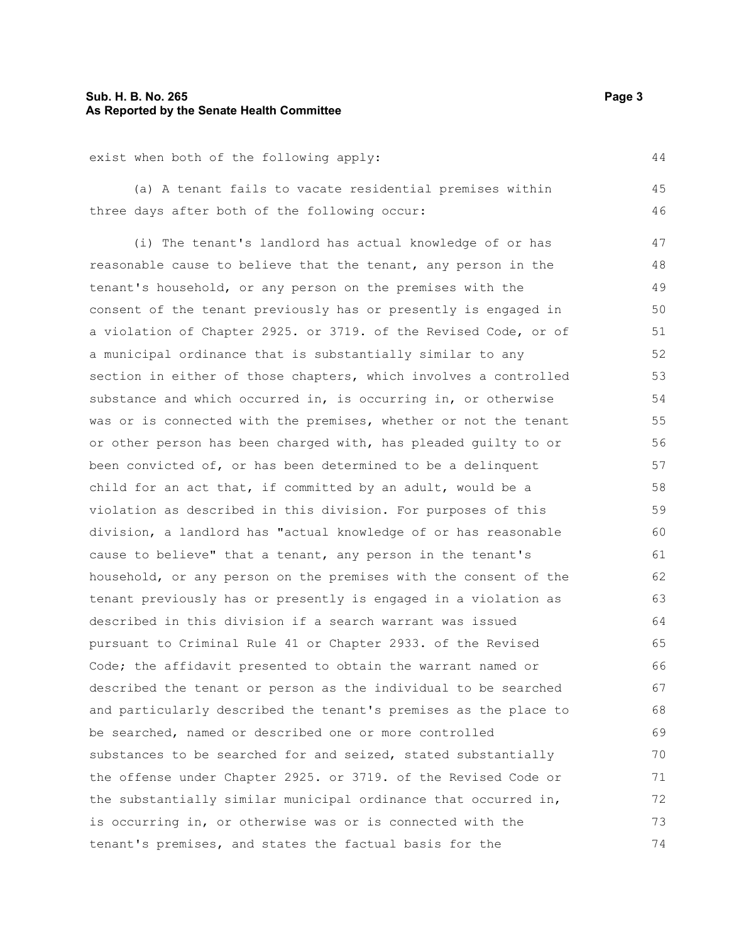### **Sub. H. B. No. 265 Page 3 As Reported by the Senate Health Committee**

exist when both of the following apply:

(a) A tenant fails to vacate residential premises within three days after both of the following occur: 45 46

(i) The tenant's landlord has actual knowledge of or has reasonable cause to believe that the tenant, any person in the tenant's household, or any person on the premises with the consent of the tenant previously has or presently is engaged in a violation of Chapter 2925. or 3719. of the Revised Code, or of a municipal ordinance that is substantially similar to any section in either of those chapters, which involves a controlled substance and which occurred in, is occurring in, or otherwise was or is connected with the premises, whether or not the tenant or other person has been charged with, has pleaded guilty to or been convicted of, or has been determined to be a delinquent child for an act that, if committed by an adult, would be a violation as described in this division. For purposes of this division, a landlord has "actual knowledge of or has reasonable cause to believe" that a tenant, any person in the tenant's household, or any person on the premises with the consent of the tenant previously has or presently is engaged in a violation as described in this division if a search warrant was issued pursuant to Criminal Rule 41 or Chapter 2933. of the Revised Code; the affidavit presented to obtain the warrant named or described the tenant or person as the individual to be searched and particularly described the tenant's premises as the place to be searched, named or described one or more controlled substances to be searched for and seized, stated substantially the offense under Chapter 2925. or 3719. of the Revised Code or the substantially similar municipal ordinance that occurred in, is occurring in, or otherwise was or is connected with the tenant's premises, and states the factual basis for the 47 48 49 50 51 52 53 54 55 56 57 58 59 60 61 62 63 64 65 66 67 68 69 70 71 72 73 74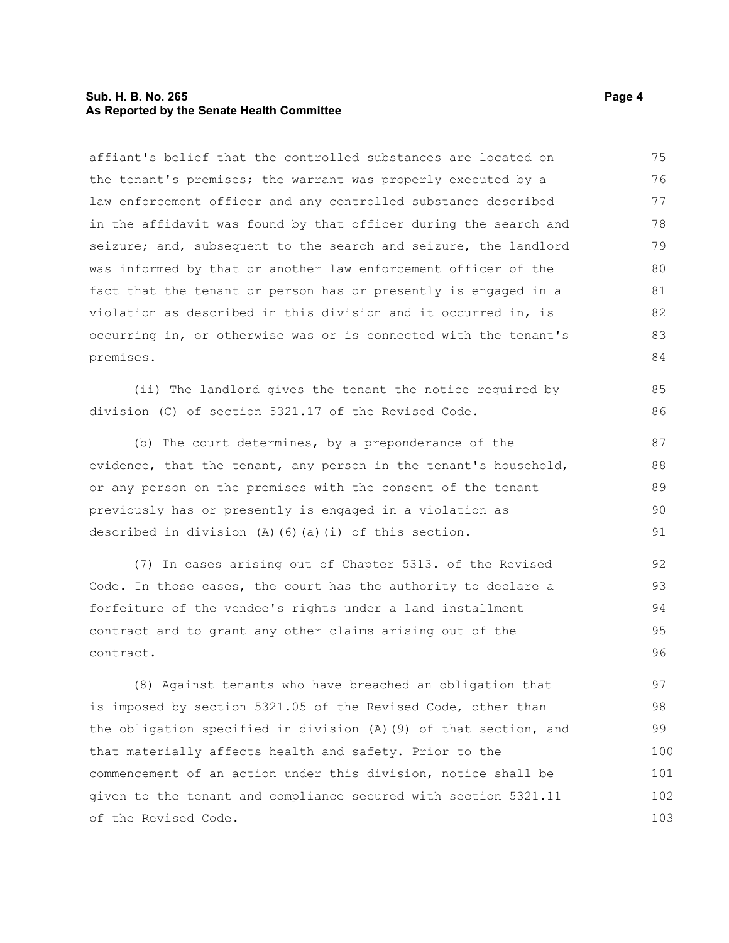#### **Sub. H. B. No. 265 Page 4 As Reported by the Senate Health Committee**

affiant's belief that the controlled substances are located on the tenant's premises; the warrant was properly executed by a law enforcement officer and any controlled substance described in the affidavit was found by that officer during the search and seizure; and, subsequent to the search and seizure, the landlord was informed by that or another law enforcement officer of the fact that the tenant or person has or presently is engaged in a violation as described in this division and it occurred in, is occurring in, or otherwise was or is connected with the tenant's premises. 75 76 77 78 79 80 81 82 83 84

(ii) The landlord gives the tenant the notice required by division (C) of section 5321.17 of the Revised Code.

(b) The court determines, by a preponderance of the evidence, that the tenant, any person in the tenant's household, or any person on the premises with the consent of the tenant previously has or presently is engaged in a violation as described in division (A)(6)(a)(i) of this section. 87 88 89  $90$ 91

(7) In cases arising out of Chapter 5313. of the Revised Code. In those cases, the court has the authority to declare a forfeiture of the vendee's rights under a land installment contract and to grant any other claims arising out of the contract. 92 93 94 95 96

(8) Against tenants who have breached an obligation that is imposed by section 5321.05 of the Revised Code, other than the obligation specified in division (A)(9) of that section, and that materially affects health and safety. Prior to the commencement of an action under this division, notice shall be given to the tenant and compliance secured with section 5321.11 of the Revised Code. 97 98 99 100 101 102 103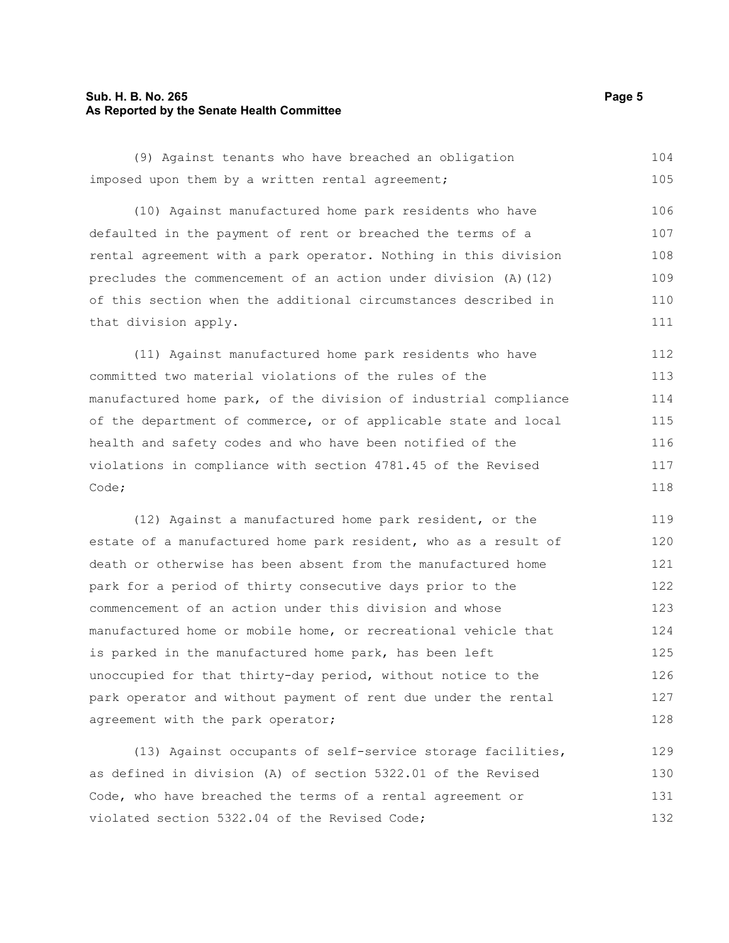### **Sub. H. B. No. 265 Page 5 As Reported by the Senate Health Committee**

(9) Against tenants who have breached an obligation imposed upon them by a written rental agreement; (10) Against manufactured home park residents who have defaulted in the payment of rent or breached the terms of a rental agreement with a park operator. Nothing in this division precludes the commencement of an action under division (A)(12) of this section when the additional circumstances described in that division apply. (11) Against manufactured home park residents who have committed two material violations of the rules of the manufactured home park, of the division of industrial compliance of the department of commerce, or of applicable state and local health and safety codes and who have been notified of the violations in compliance with section 4781.45 of the Revised Code; (12) Against a manufactured home park resident, or the estate of a manufactured home park resident, who as a result of death or otherwise has been absent from the manufactured home park for a period of thirty consecutive days prior to the commencement of an action under this division and whose manufactured home or mobile home, or recreational vehicle that is parked in the manufactured home park, has been left 104 105 106 107 108 109 110 111 112 113 114 115 116 117 118 119 120 121 122 123 124 125

unoccupied for that thirty-day period, without notice to the park operator and without payment of rent due under the rental agreement with the park operator; 126 127 128

(13) Against occupants of self-service storage facilities, as defined in division (A) of section 5322.01 of the Revised Code, who have breached the terms of a rental agreement or violated section 5322.04 of the Revised Code; 129 130 131 132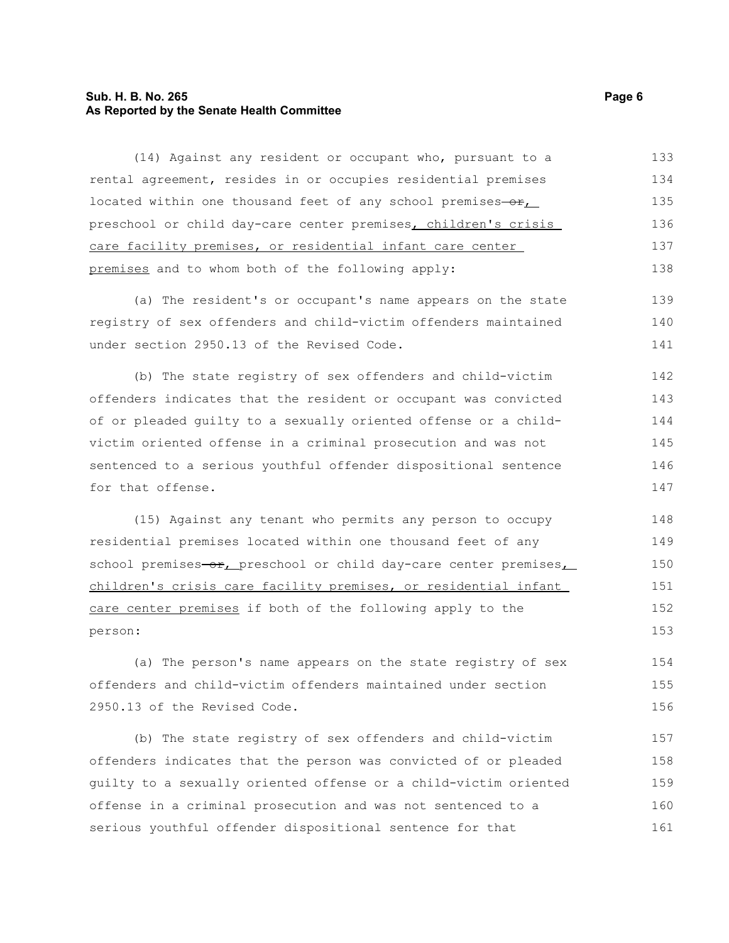#### **Sub. H. B. No. 265 Page 6 As Reported by the Senate Health Committee**

(14) Against any resident or occupant who, pursuant to a rental agreement, resides in or occupies residential premises located within one thousand feet of any school premises- $o$  $r_{f}$ preschool or child day-care center premises, children's crisis care facility premises, or residential infant care center premises and to whom both of the following apply: 133 134 135 136 137 138

(a) The resident's or occupant's name appears on the state registry of sex offenders and child-victim offenders maintained under section 2950.13 of the Revised Code. 139 140 141

(b) The state registry of sex offenders and child-victim offenders indicates that the resident or occupant was convicted of or pleaded guilty to a sexually oriented offense or a childvictim oriented offense in a criminal prosecution and was not sentenced to a serious youthful offender dispositional sentence for that offense. 142 143 144 145 146 147

(15) Against any tenant who permits any person to occupy residential premises located within one thousand feet of any school premises-or, preschool or child day-care center premises, children's crisis care facility premises, or residential infant care center premises if both of the following apply to the person: 148 149 150 151 152 153

(a) The person's name appears on the state registry of sex offenders and child-victim offenders maintained under section 2950.13 of the Revised Code.

(b) The state registry of sex offenders and child-victim offenders indicates that the person was convicted of or pleaded guilty to a sexually oriented offense or a child-victim oriented offense in a criminal prosecution and was not sentenced to a serious youthful offender dispositional sentence for that 157 158 159 160 161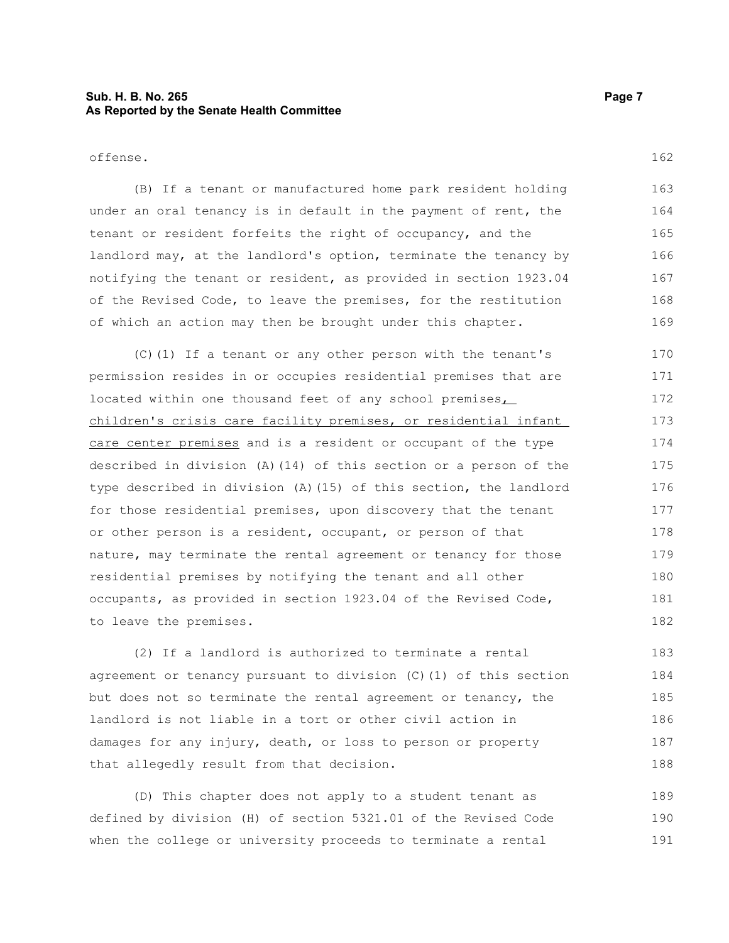#### **Sub. H. B. No. 265 Page 7 As Reported by the Senate Health Committee**

#### offense.

(B) If a tenant or manufactured home park resident holding under an oral tenancy is in default in the payment of rent, the tenant or resident forfeits the right of occupancy, and the landlord may, at the landlord's option, terminate the tenancy by notifying the tenant or resident, as provided in section 1923.04 of the Revised Code, to leave the premises, for the restitution of which an action may then be brought under this chapter. 163 164 165 166 167 168 169

(C)(1) If a tenant or any other person with the tenant's permission resides in or occupies residential premises that are located within one thousand feet of any school premises children's crisis care facility premises, or residential infant care center premises and is a resident or occupant of the type described in division (A)(14) of this section or a person of the type described in division (A)(15) of this section, the landlord for those residential premises, upon discovery that the tenant or other person is a resident, occupant, or person of that nature, may terminate the rental agreement or tenancy for those residential premises by notifying the tenant and all other occupants, as provided in section 1923.04 of the Revised Code, to leave the premises. 170 171 172 173 174 175 176 177 178 179 180 181 182

(2) If a landlord is authorized to terminate a rental agreement or tenancy pursuant to division (C)(1) of this section but does not so terminate the rental agreement or tenancy, the landlord is not liable in a tort or other civil action in damages for any injury, death, or loss to person or property that allegedly result from that decision. 183 184 185 186 187 188

(D) This chapter does not apply to a student tenant as defined by division (H) of section 5321.01 of the Revised Code when the college or university proceeds to terminate a rental 189 190 191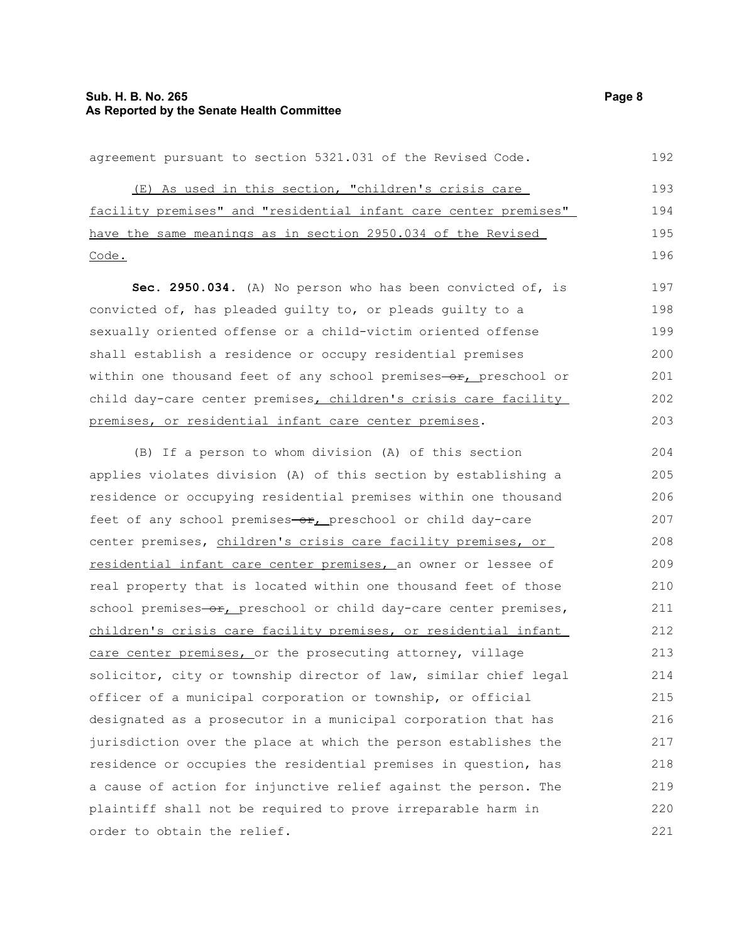agreement pursuant to section 5321.031 of the Revised Code. (E) As used in this section, "children's crisis care facility premises" and "residential infant care center premises" have the same meanings as in section 2950.034 of the Revised Code. **Sec. 2950.034.** (A) No person who has been convicted of, is convicted of, has pleaded guilty to, or pleads guilty to a sexually oriented offense or a child-victim oriented offense shall establish a residence or occupy residential premises within one thousand feet of any school premises-or, preschool or child day-care center premises, children's crisis care facility premises, or residential infant care center premises. (B) If a person to whom division (A) of this section applies violates division (A) of this section by establishing a residence or occupying residential premises within one thousand feet of any school premises-or, preschool or child day-care center premises, children's crisis care facility premises, or 192 193 194 195 196 197 198 199 200 201 202 203 204 205 206 207 208

residential infant care center premises, an owner or lessee of real property that is located within one thousand feet of those school premises-or, preschool or child day-care center premises, children's crisis care facility premises, or residential infant care center premises, or the prosecuting attorney, village solicitor, city or township director of law, similar chief legal officer of a municipal corporation or township, or official designated as a prosecutor in a municipal corporation that has jurisdiction over the place at which the person establishes the residence or occupies the residential premises in question, has a cause of action for injunctive relief against the person. The plaintiff shall not be required to prove irreparable harm in order to obtain the relief. 209 210 211 212 213 214 215 216 217 218 219 220 221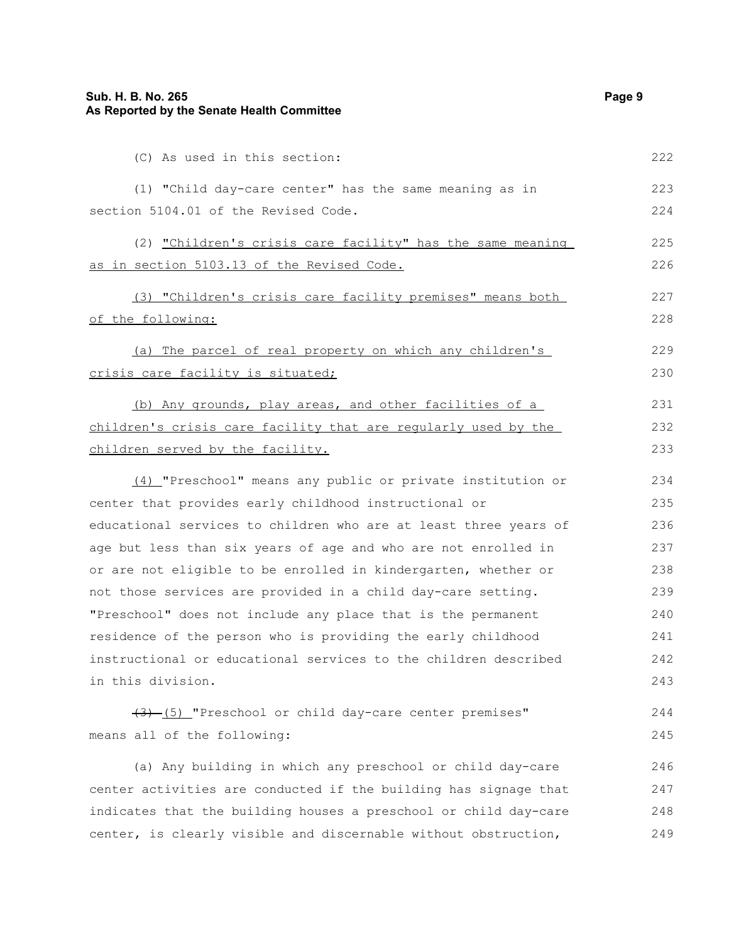### **Sub. H. B. No. 265 Page 9 As Reported by the Senate Health Committee**

| (C) As used in this section:                                     | 222 |
|------------------------------------------------------------------|-----|
| (1) "Child day-care center" has the same meaning as in           | 223 |
| section 5104.01 of the Revised Code.                             | 224 |
| (2) "Children's crisis care facility" has the same meaning       | 225 |
| <u>as in section 5103.13 of the Revised Code.</u>                | 226 |
| (3) "Children's crisis care facility premises" means both        | 227 |
| of the following:                                                | 228 |
| (a) The parcel of real property on which any children's          | 229 |
| <u>crisis care facility is situated;</u>                         | 230 |
| (b) Any grounds, play areas, and other facilities of a           | 231 |
| children's crisis care facility that are regularly used by the   | 232 |
| children served by the facility.                                 | 233 |
| (4) "Preschool" means any public or private institution or       | 234 |
| center that provides early childhood instructional or            | 235 |
| educational services to children who are at least three years of | 236 |
| age but less than six years of age and who are not enrolled in   | 237 |
| or are not eligible to be enrolled in kindergarten, whether or   | 238 |
| not those services are provided in a child day-care setting.     | 239 |
| "Preschool" does not include any place that is the permanent     | 240 |
| residence of the person who is providing the early childhood     | 241 |
| instructional or educational services to the children described  | 242 |
| in this division.                                                | 243 |
| $\frac{1}{3}$ (5) "Preschool or child day-care center premises"  | 244 |
| means all of the following:                                      | 245 |
| (a) Any building in which any preschool or child day-care        | 246 |
| contor activities are conducted if the building has signage that | 247 |

center activities are conducted if the building has signage that indicates that the building houses a preschool or child day-care center, is clearly visible and discernable without obstruction, 247 248 249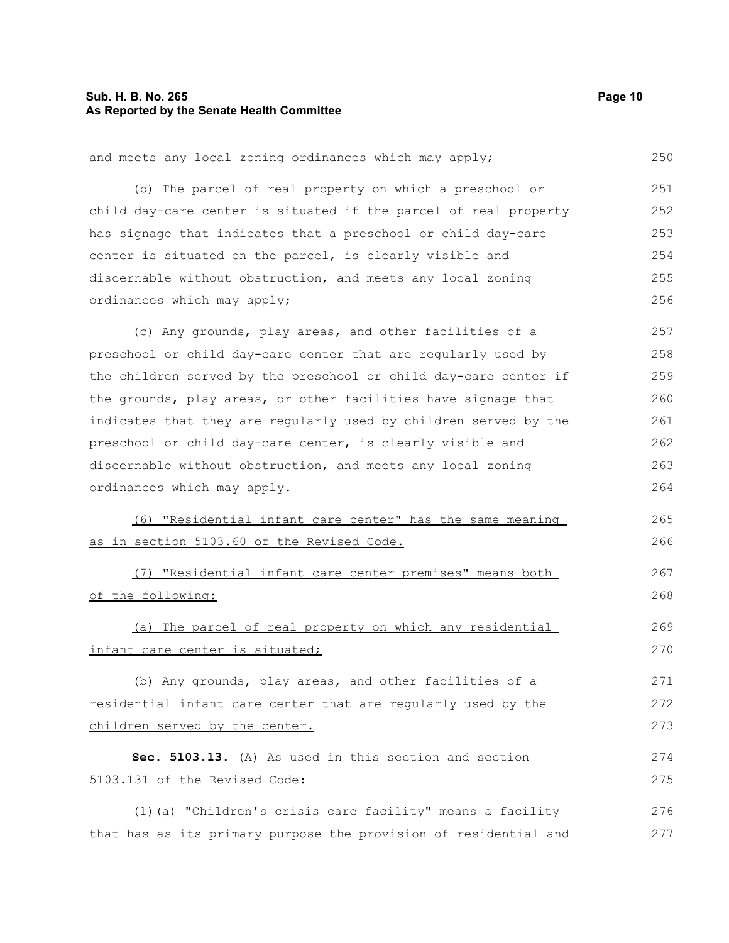#### **Sub. H. B. No. 265 Page 10 As Reported by the Senate Health Committee**

5103.131 of the Revised Code:

and meets any local zoning ordinances which may apply; (b) The parcel of real property on which a preschool or child day-care center is situated if the parcel of real property has signage that indicates that a preschool or child day-care center is situated on the parcel, is clearly visible and discernable without obstruction, and meets any local zoning ordinances which may apply; (c) Any grounds, play areas, and other facilities of a preschool or child day-care center that are regularly used by the children served by the preschool or child day-care center if the grounds, play areas, or other facilities have signage that indicates that they are regularly used by children served by the preschool or child day-care center, is clearly visible and discernable without obstruction, and meets any local zoning ordinances which may apply. (6) "Residential infant care center" has the same meaning as in section 5103.60 of the Revised Code. (7) "Residential infant care center premises" means both of the following: (a) The parcel of real property on which any residential infant care center is situated; (b) Any grounds, play areas, and other facilities of a residential infant care center that are regularly used by the children served by the center. **Sec. 5103.13.** (A) As used in this section and section 250 251 252 253 254 255 256 257 258 259 260 261 262 263 264 265 266 267 268 269 270 271 272 273 274

(1)(a) "Children's crisis care facility" means a facility that has as its primary purpose the provision of residential and 276 277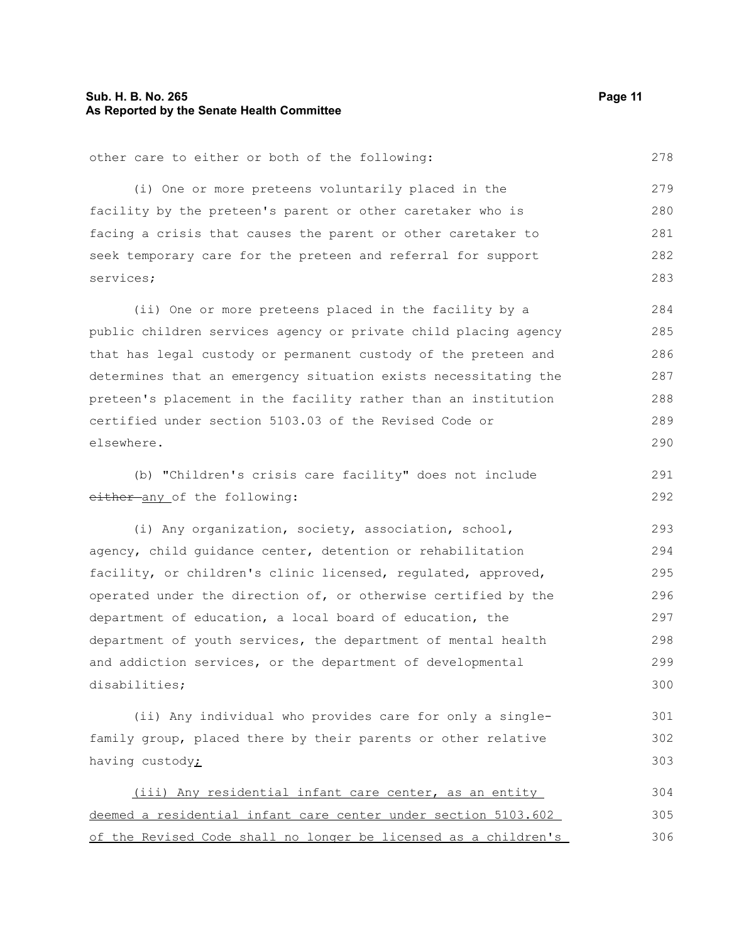### **Sub. H. B. No. 265 Page 11 As Reported by the Senate Health Committee**

```
other care to either or both of the following:
```
(i) One or more preteens voluntarily placed in the facility by the preteen's parent or other caretaker who is facing a crisis that causes the parent or other caretaker to seek temporary care for the preteen and referral for support services; 280 281 282

(ii) One or more preteens placed in the facility by a public children services agency or private child placing agency that has legal custody or permanent custody of the preteen and determines that an emergency situation exists necessitating the preteen's placement in the facility rather than an institution certified under section 5103.03 of the Revised Code or elsewhere. 284 285

(b) "Children's crisis care facility" does not include either any of the following:

(i) Any organization, society, association, school, agency, child guidance center, detention or rehabilitation facility, or children's clinic licensed, regulated, approved, operated under the direction of, or otherwise certified by the department of education, a local board of education, the department of youth services, the department of mental health and addiction services, or the department of developmental disabilities; 293 294 295 296 297 298 299 300

(ii) Any individual who provides care for only a singlefamily group, placed there by their parents or other relative having custody; 301 302 303

(iii) Any residential infant care center, as an entity deemed a residential infant care center under section 5103.602 of the Revised Code shall no longer be licensed as a children's 304 305 306

278

279

283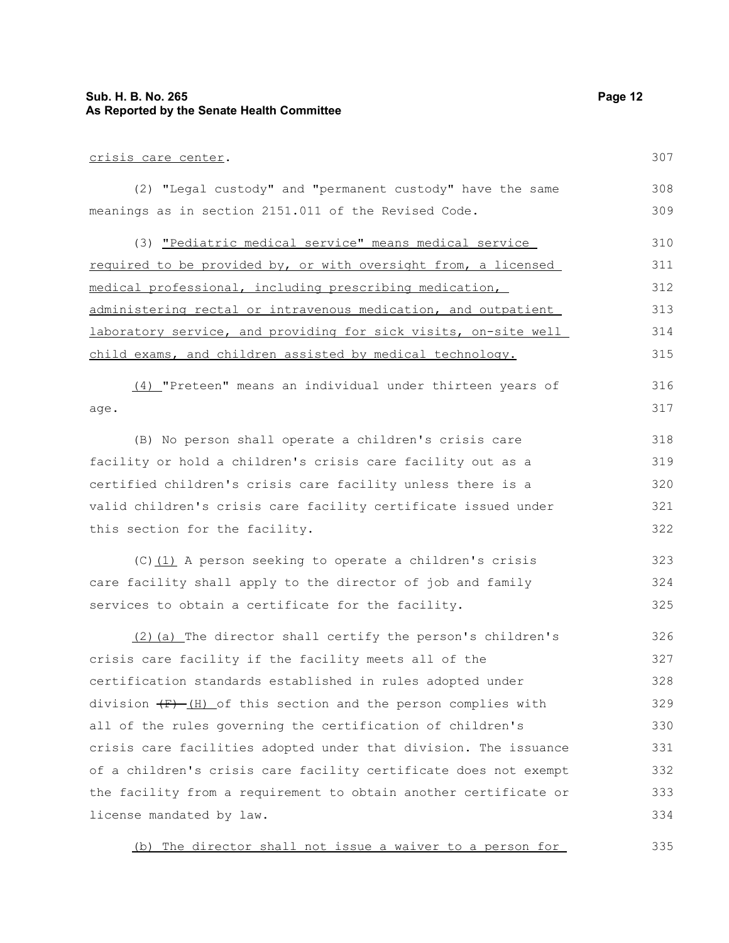## **Sub. H. B. No. 265 Page 12 As Reported by the Senate Health Committee**

| crisis care center.                                                        | 307 |
|----------------------------------------------------------------------------|-----|
| (2) "Legal custody" and "permanent custody" have the same                  | 308 |
| meanings as in section 2151.011 of the Revised Code.                       | 309 |
| (3) "Pediatric medical service" means medical service                      | 310 |
| required to be provided by, or with oversight from, a licensed             | 311 |
| medical professional, including prescribing medication,                    | 312 |
| administering rectal or intravenous medication, and outpatient             | 313 |
| laboratory service, and providing for sick visits, on-site well            | 314 |
| child exams, and children assisted by medical technology.                  | 315 |
| (4) "Preteen" means an individual under thirteen years of                  | 316 |
| age.                                                                       | 317 |
| (B) No person shall operate a children's crisis care                       | 318 |
| facility or hold a children's crisis care facility out as a                | 319 |
| certified children's crisis care facility unless there is a                | 320 |
| valid children's crisis care facility certificate issued under             | 321 |
| this section for the facility.                                             | 322 |
| $(C)$ (1) A person seeking to operate a children's crisis                  | 323 |
| care facility shall apply to the director of job and family                | 324 |
| services to obtain a certificate for the facility.                         | 325 |
| (2) (a) The director shall certify the person's children's                 | 326 |
| crisis care facility if the facility meets all of the                      | 327 |
| certification standards established in rules adopted under                 | 328 |
| division $\overline{(F)-(H)}$ of this section and the person complies with | 329 |
| all of the rules governing the certification of children's                 | 330 |
| crisis care facilities adopted under that division. The issuance           | 331 |
| of a children's crisis care facility certificate does not exempt           | 332 |
| the facility from a requirement to obtain another certificate or           | 333 |
| license mandated by law.                                                   | 334 |

(b) The director shall not issue a waiver to a person for 335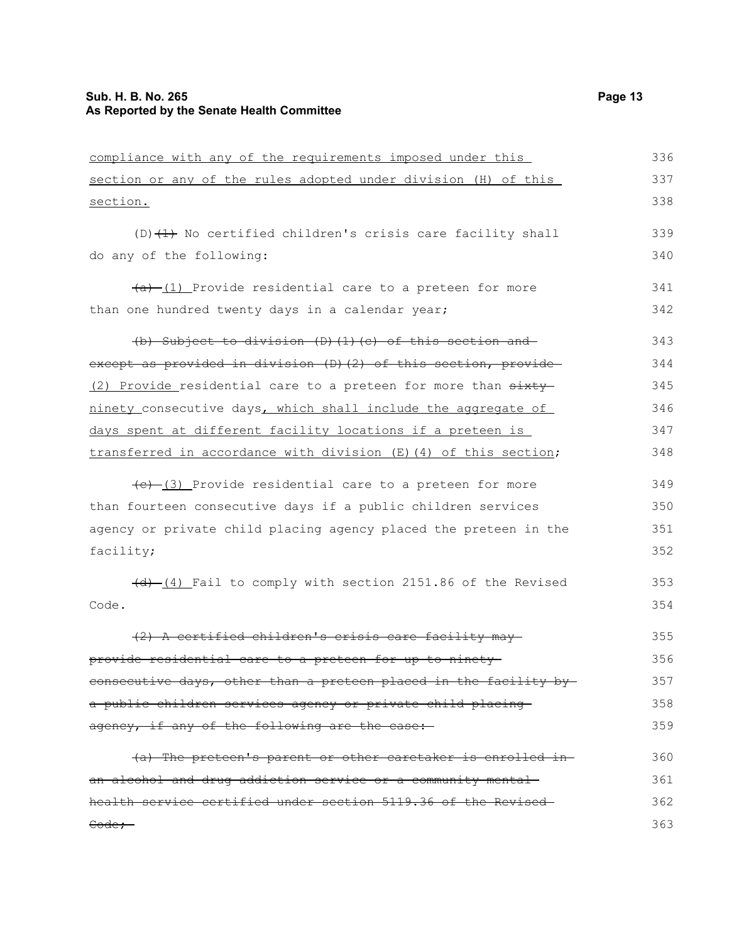| compliance with any of the requirements imposed under this       | 336 |
|------------------------------------------------------------------|-----|
| section or any of the rules adopted under division (H) of this   | 337 |
| section.                                                         | 338 |
| $(D)$ $(1)$ No certified children's crisis care facility shall   | 339 |
| do any of the following:                                         | 340 |
| $\frac{a}{b}$ (1) Provide residential care to a preteen for more | 341 |
| than one hundred twenty days in a calendar year;                 | 342 |
| (b) Subject to division (D) (1) (c) of this section and          | 343 |
| except as provided in division (D) (2) of this section, provide- | 344 |
| (2) Provide residential care to a preteen for more than sixty    | 345 |
| ninety_consecutive days, which shall include the aggregate of    | 346 |
| days spent at different facility locations if a preteen is       | 347 |
| transferred in accordance with division (E) (4) of this section; | 348 |
| $(e)$ (3) Provide residential care to a preteen for more         | 349 |
| than fourteen consecutive days if a public children services     | 350 |
| agency or private child placing agency placed the preteen in the | 351 |
| facility;                                                        | 352 |
| $(d)$ $(4)$ Fail to comply with section 2151.86 of the Revised   | 353 |
| Code.                                                            | 354 |
| (2) A certified children's crisis care facility may              | 355 |
| provide residential care to a preteen for up to ninety           | 356 |
| consecutive days, other than a preteen placed in the facility by | 357 |
| a public children services agency or private child placing       | 358 |
| agency, if any of the following are the case:                    | 359 |
| (a) The preteen's parent or other caretaker is enrolled in-      | 360 |
| an alcohol and drug addiction service or a community mental      | 361 |
| health service certified under section 5119.36 of the Revised    | 362 |
| <del>Code;</del>                                                 | 363 |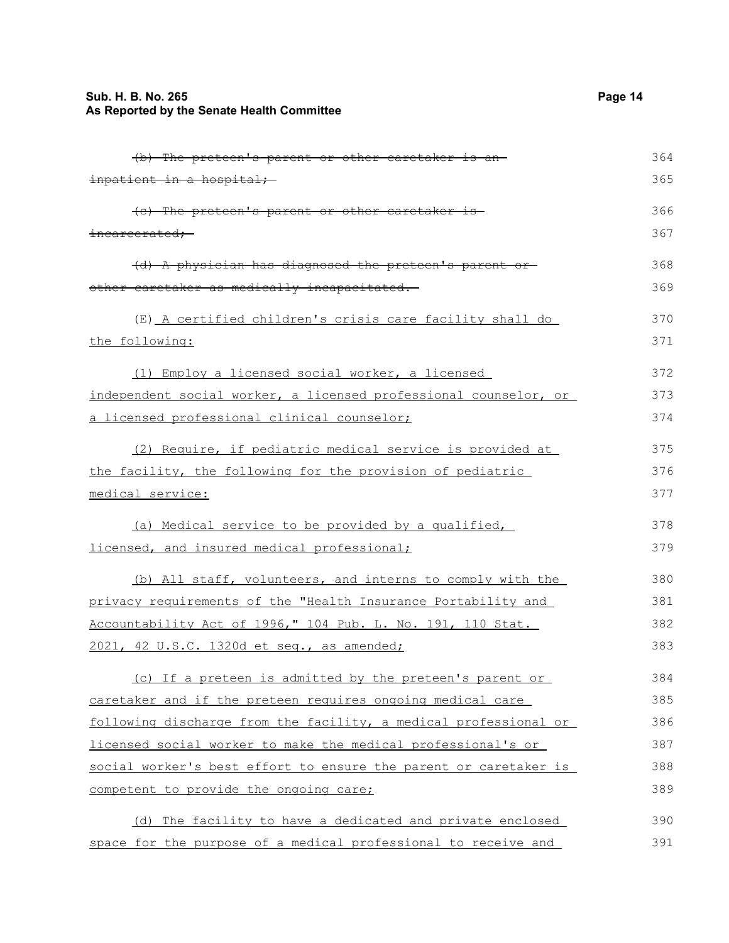## **Sub. H. B. No. 265 Page 14 As Reported by the Senate Health Committee**

| (b) The preteen's parent or other caretaker is an-               | 364 |
|------------------------------------------------------------------|-----|
| inpatient in a hospital;                                         | 365 |
| (c) The preteen's parent or other caretaker is-                  | 366 |
| incarcerated:                                                    | 367 |
| (d) A physician has diagnosed the preteen's parent or-           | 368 |
| other caretaker as medically incapacitated.                      | 369 |
| (E) A certified children's crisis care facility shall do         | 370 |
| the following:                                                   | 371 |
| (1) Employ a licensed social worker, a licensed                  | 372 |
| independent social worker, a licensed professional counselor, or | 373 |
| a licensed professional clinical counselor;                      | 374 |
| (2) Require, if pediatric medical service is provided at         | 375 |
| the facility, the following for the provision of pediatric       | 376 |
| medical service:                                                 | 377 |
| (a) Medical service to be provided by a qualified,               | 378 |
| licensed, and insured medical professional;                      | 379 |
| (b) All staff, volunteers, and interns to comply with the        | 380 |
| privacy requirements of the "Health Insurance Portability and    | 381 |
| Accountability Act of 1996," 104 Pub. L. No. 191, 110 Stat.      | 382 |
| 2021, 42 U.S.C. 1320d et seq., as amended;                       | 383 |
| (c) If a preteen is admitted by the preteen's parent or          | 384 |
| caretaker and if the preteen requires ongoing medical care       | 385 |
| following discharge from the facility, a medical professional or | 386 |
| licensed social worker to make the medical professional's or     | 387 |
| social worker's best effort to ensure the parent or caretaker is | 388 |
| competent to provide the ongoing care;                           | 389 |
| (d) The facility to have a dedicated and private enclosed        | 390 |
| space for the purpose of a medical professional to receive and   | 391 |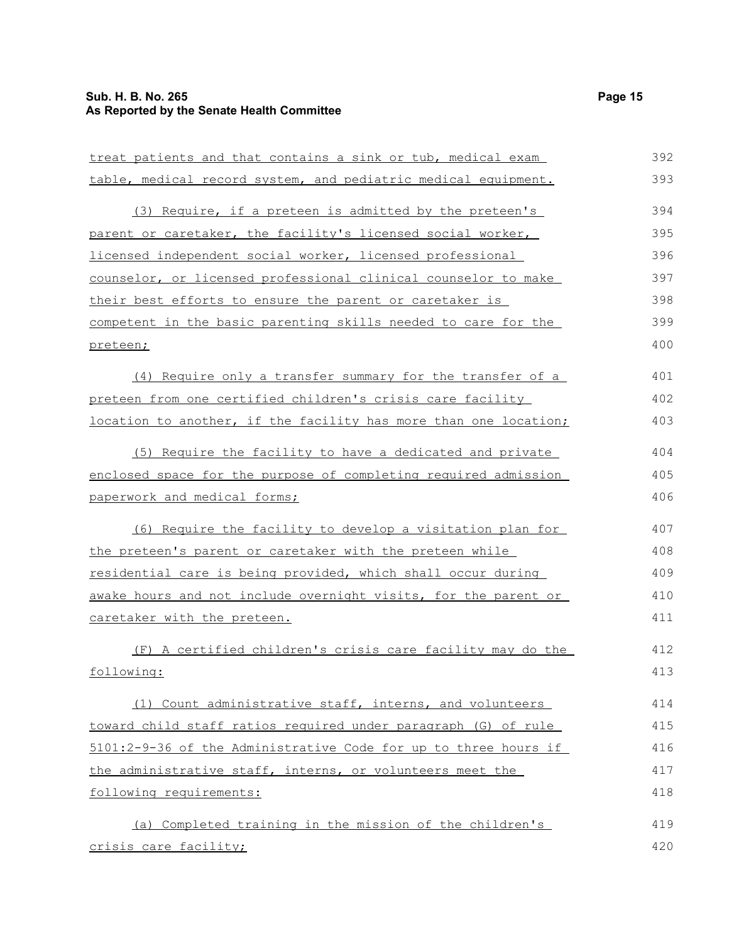| treat patients and that contains a sink or tub, medical exam     | 392 |
|------------------------------------------------------------------|-----|
| table, medical record system, and pediatric medical equipment.   | 393 |
| (3) Require, if a preteen is admitted by the preteen's           | 394 |
| parent or caretaker, the facility's licensed social worker,      | 395 |
| licensed independent social worker, licensed professional        | 396 |
| counselor, or licensed professional clinical counselor to make   | 397 |
| their best efforts to ensure the parent or caretaker is          | 398 |
| competent in the basic parenting skills needed to care for the   | 399 |
| preteen;                                                         | 400 |
| (4) Require only a transfer summary for the transfer of a        | 401 |
| preteen from one certified children's crisis care facility       | 402 |
| location to another, if the facility has more than one location; | 403 |
| (5) Require the facility to have a dedicated and private         | 404 |
| enclosed space for the purpose of completing required admission  | 405 |
| paperwork and medical forms;                                     | 406 |
| (6) Require the facility to develop a visitation plan for        | 407 |
| the preteen's parent or caretaker with the preteen while         | 408 |
| residential care is being provided, which shall occur during     | 409 |
| awake hours and not include overnight visits, for the parent or  | 410 |
| caretaker with the preteen.                                      | 411 |
| (F) A certified children's crisis care facility may do the       | 412 |
| following:                                                       | 413 |
| (1) Count administrative staff, interns, and volunteers          | 414 |
| toward child staff ratios required under paragraph (G) of rule   | 415 |
| 5101:2-9-36 of the Administrative Code for up to three hours if  | 416 |
| the administrative staff, interns, or volunteers meet the        | 417 |
| following requirements:                                          | 418 |
| (a) Completed training in the mission of the children's          | 419 |
| crisis care facility;                                            | 420 |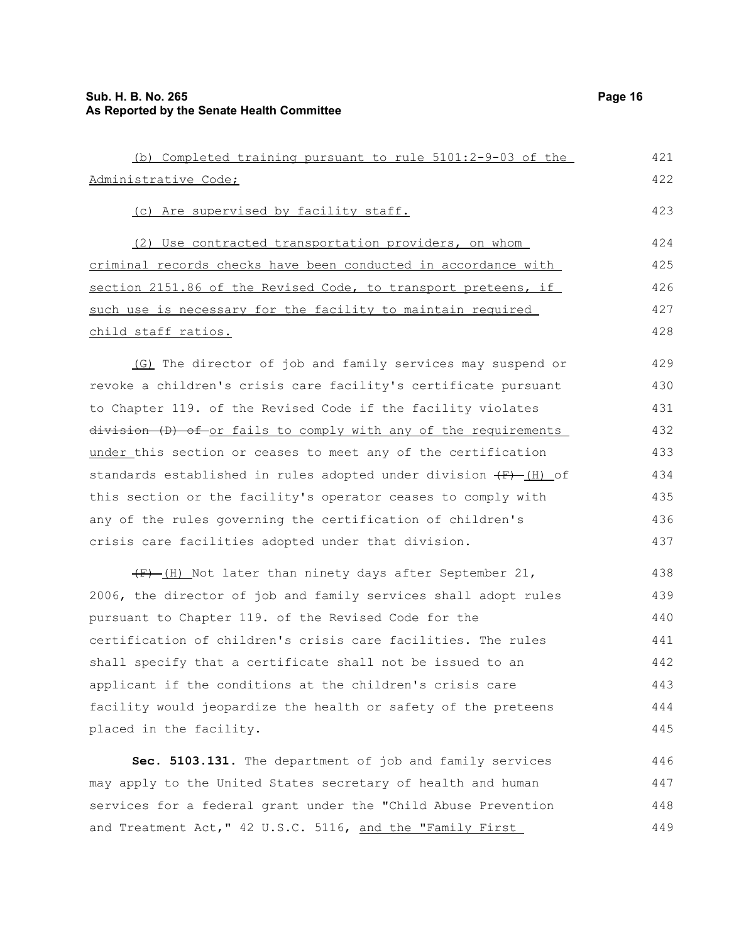| (b) Completed training pursuant to rule 5101:2-9-03 of the         | 421 |
|--------------------------------------------------------------------|-----|
| Administrative Code;                                               | 422 |
| (c) Are supervised by facility staff.                              | 423 |
| (2) Use contracted transportation providers, on whom               | 424 |
| criminal records checks have been conducted in accordance with     | 425 |
| section 2151.86 of the Revised Code, to transport preteens, if     | 426 |
| such use is necessary for the facility to maintain required        | 427 |
| child staff ratios.                                                | 428 |
| (G) The director of job and family services may suspend or         | 429 |
| revoke a children's crisis care facility's certificate pursuant    | 430 |
| to Chapter 119. of the Revised Code if the facility violates       | 431 |
| division (D) of or fails to comply with any of the requirements    | 432 |
| under this section or ceases to meet any of the certification      | 433 |
| standards established in rules adopted under division $(F)$ (H) of | 434 |
| this section or the facility's operator ceases to comply with      | 435 |
| any of the rules governing the certification of children's         | 436 |
| crisis care facilities adopted under that division.                | 437 |
| $(F)$ -(H) Not later than ninety days after September 21,          | 438 |
| 2006, the director of job and family services shall adopt rules    | 439 |
| pursuant to Chapter 119. of the Revised Code for the               | 440 |
| certification of children's crisis care facilities. The rules      | 441 |
| shall specify that a certificate shall not be issued to an         | 442 |
| applicant if the conditions at the children's crisis care          | 443 |
| facility would jeopardize the health or safety of the preteens     | 444 |
| placed in the facility.                                            | 445 |
| Sec. 5103.131. The department of job and family services           | 446 |
| may apply to the United States secretary of health and human       | 447 |
| services for a federal grant under the "Child Abuse Prevention     | 448 |

and Treatment Act," 42 U.S.C. 5116, and the "Family First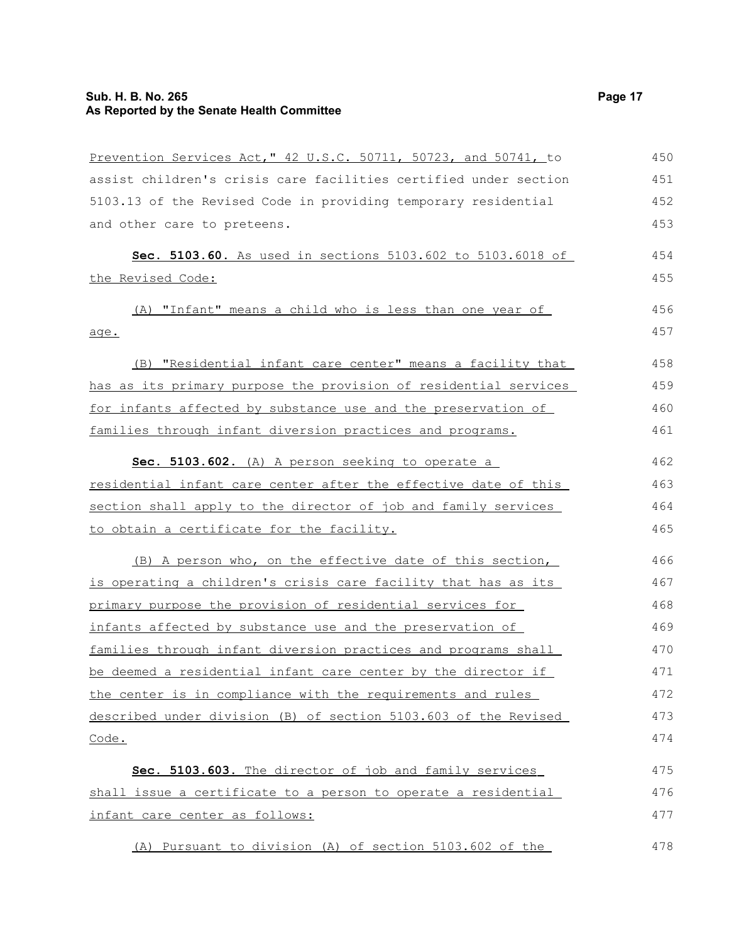| Prevention Services Act," 42 U.S.C. 50711, 50723, and 50741, to  | 450 |
|------------------------------------------------------------------|-----|
| assist children's crisis care facilities certified under section | 451 |
| 5103.13 of the Revised Code in providing temporary residential   | 452 |
| and other care to preteens.                                      | 453 |
| Sec. 5103.60. As used in sections 5103.602 to 5103.6018 of       | 454 |
| the Revised Code:                                                | 455 |
| (A) "Infant" means a child who is less than one year of          | 456 |
| age.                                                             | 457 |
| (B) "Residential infant care center" means a facility that       | 458 |
| has as its primary purpose the provision of residential services | 459 |
| for infants affected by substance use and the preservation of    | 460 |
| families through infant diversion practices and programs.        | 461 |
| Sec. 5103.602. (A) A person seeking to operate a                 | 462 |
| residential infant care center after the effective date of this  | 463 |
| section shall apply to the director of job and family services   | 464 |
| to obtain a certificate for the facility.                        | 465 |
| (B) A person who, on the effective date of this section,         | 466 |
| is operating a children's crisis care facility that has as its   | 467 |
| primary purpose the provision of residential services for        | 468 |
| infants affected by substance use and the preservation of        | 469 |
| families through infant diversion practices and programs shall   | 470 |
| be deemed a residential infant care center by the director if    | 471 |
| the center is in compliance with the requirements and rules      | 472 |
| described under division (B) of section 5103.603 of the Revised  | 473 |
| <u>Code.</u>                                                     | 474 |
| Sec. 5103.603. The director of job and family services           | 475 |
| shall issue a certificate to a person to operate a residential   | 476 |
| infant care center as follows:                                   | 477 |
| (A) Pursuant to division (A) of section 5103.602 of the          | 478 |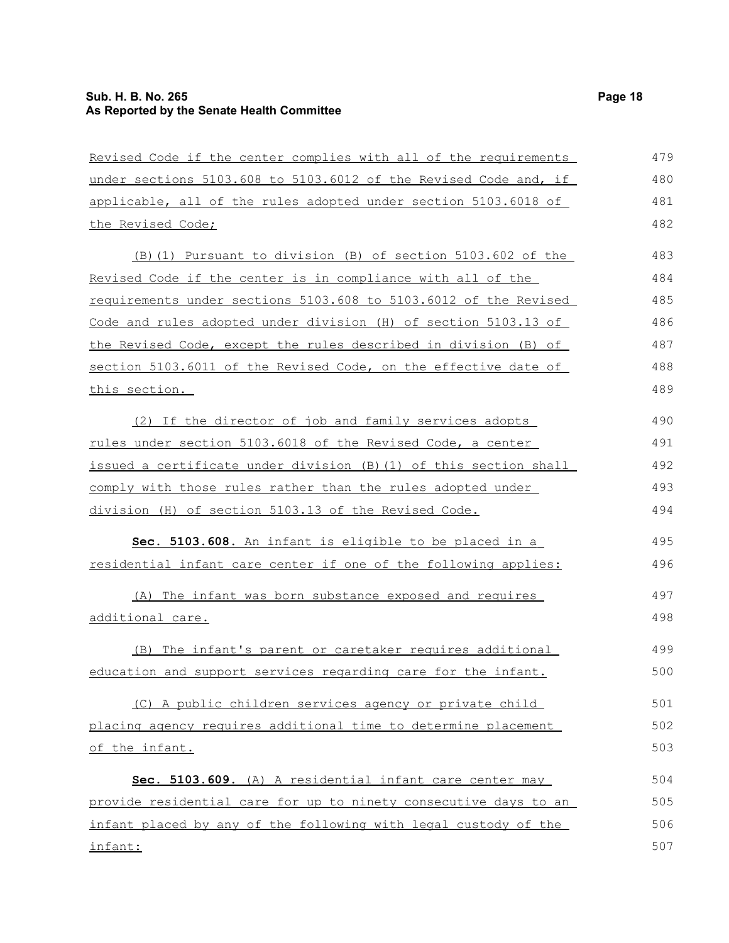| Revised Code if the center complies with all of the requirements  | 479 |
|-------------------------------------------------------------------|-----|
| under sections 5103.608 to 5103.6012 of the Revised Code and, if  | 480 |
| applicable, all of the rules adopted under section 5103.6018 of   | 481 |
| the Revised Code;                                                 | 482 |
| (B) (1) Pursuant to division (B) of section 5103.602 of the       | 483 |
| Revised Code if the center is in compliance with all of the       | 484 |
| requirements under sections 5103.608 to 5103.6012 of the Revised  | 485 |
| Code and rules adopted under division (H) of section 5103.13 of   | 486 |
| the Revised Code, except the rules described in division (B) of   | 487 |
| section 5103.6011 of the Revised Code, on the effective date of   | 488 |
| this section.                                                     | 489 |
| (2) If the director of job and family services adopts             | 490 |
| rules under section 5103.6018 of the Revised Code, a center       | 491 |
| issued a certificate under division (B) (1) of this section shall | 492 |
| comply with those rules rather than the rules adopted under       | 493 |
| division (H) of section 5103.13 of the Revised Code.              | 494 |
| Sec. 5103.608. An infant is eligible to be placed in a            | 495 |
| residential infant care center if one of the following applies:   | 496 |
| (A) The infant was born substance exposed and requires            | 497 |
| additional care.                                                  | 498 |
| (B) The infant's parent or caretaker requires additional          | 499 |
| education and support services regarding care for the infant.     | 500 |
| (C) A public children services agency or private child            | 501 |
| placing agency requires additional time to determine placement    | 502 |
| of the infant.                                                    | 503 |
| Sec. 5103.609. (A) A residential infant care center may           | 504 |
| provide residential care for up to ninety consecutive days to an  | 505 |
| infant placed by any of the following with legal custody of the   | 506 |
| infant:                                                           | 507 |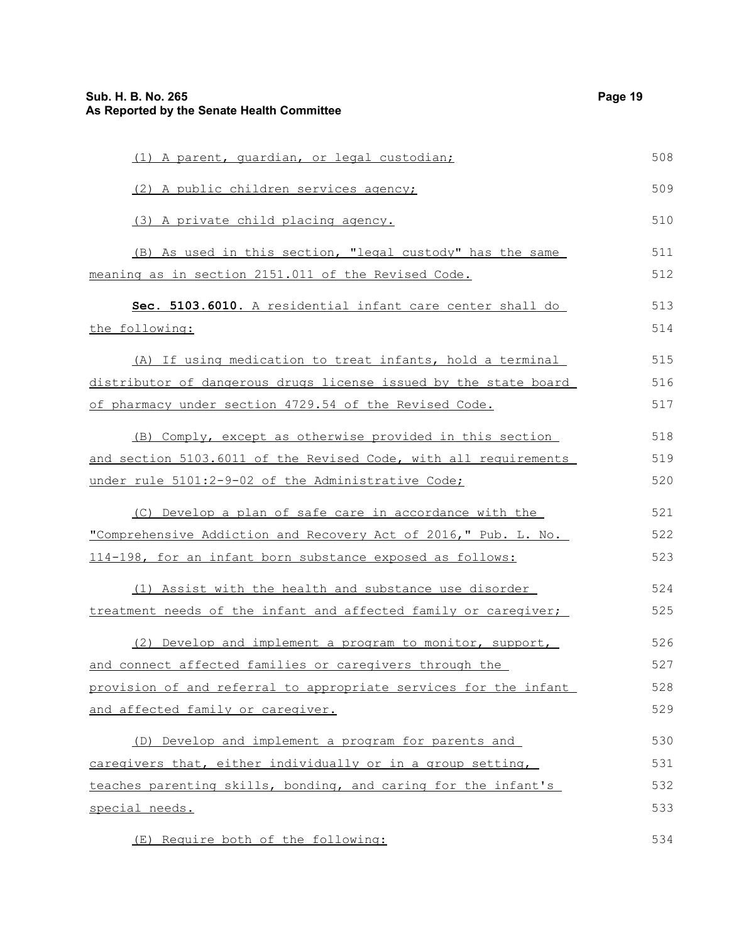| (1) A parent, quardian, or legal custodian;                      | 508 |
|------------------------------------------------------------------|-----|
| (2) A public children services agency;                           | 509 |
| (3) A private child placing agency.                              | 510 |
| (B) As used in this section, "legal custody" has the same        | 511 |
| meaning as in section 2151.011 of the Revised Code.              | 512 |
| Sec. 5103.6010. A residential infant care center shall do        | 513 |
| the following:                                                   | 514 |
| (A) If using medication to treat infants, hold a terminal        | 515 |
| distributor of dangerous drugs license issued by the state board | 516 |
| of pharmacy under section 4729.54 of the Revised Code.           | 517 |
| (B) Comply, except as otherwise provided in this section         | 518 |
| and section 5103.6011 of the Revised Code, with all requirements | 519 |
| under rule 5101:2-9-02 of the Administrative Code;               | 520 |
| (C) Develop a plan of safe care in accordance with the           | 521 |
| "Comprehensive Addiction and Recovery Act of 2016," Pub. L. No.  | 522 |
| 114-198, for an infant born substance exposed as follows:        | 523 |
| (1) Assist with the health and substance use disorder            | 524 |
| treatment needs of the infant and affected family or caregiver;  | 525 |
| (2) Develop and implement a program to monitor, support,         | 526 |
| and connect affected families or caregivers through the          | 527 |
| provision of and referral to appropriate services for the infant | 528 |
| and affected family or caregiver.                                | 529 |
| (D) Develop and implement a program for parents and              | 530 |
| caregivers that, either individually or in a group setting,      | 531 |
| teaches parenting skills, bonding, and caring for the infant's   | 532 |
| special needs.                                                   | 533 |
| (E) Require both of the following:                               | 534 |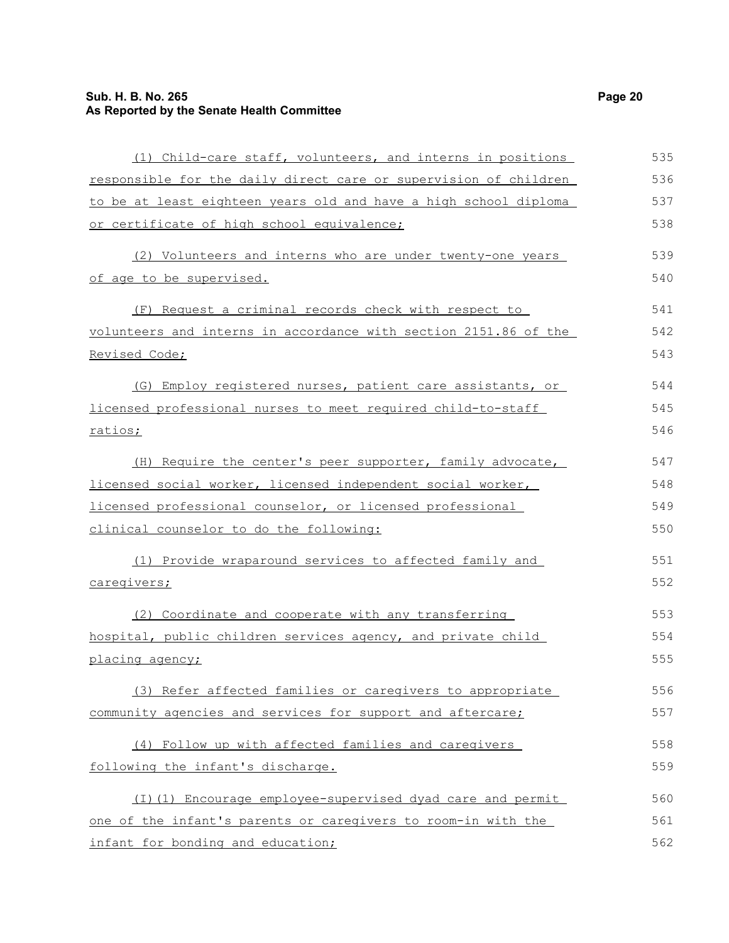## **Sub. H. B. No. 265 Page 20 As Reported by the Senate Health Committee**

| (1) Child-care staff, volunteers, and interns in positions              | 535 |
|-------------------------------------------------------------------------|-----|
| <u>responsible for the daily direct care or supervision of children</u> | 536 |
| to be at least eighteen years old and have a high school diploma        | 537 |
| or certificate of high school equivalence;                              | 538 |
| (2) Volunteers and interns who are under twenty-one years               | 539 |
| of age to be supervised.                                                | 540 |
| (F) Request a criminal records check with respect to                    | 541 |
| volunteers and interns in accordance with section 2151.86 of the        | 542 |
| Revised Code;                                                           | 543 |
| (G) Employ registered nurses, patient care assistants, or               | 544 |
| licensed professional nurses to meet required child-to-staff            | 545 |
| ratios;                                                                 | 546 |
| (H) Require the center's peer supporter, family advocate,               | 547 |
| licensed social worker, licensed independent social worker,             | 548 |
| licensed professional counselor, or licensed professional               | 549 |
| clinical counselor to do the following:                                 | 550 |
| (1) Provide wraparound services to affected family and                  | 551 |
| caregivers;                                                             | 552 |
| (2) Coordinate and cooperate with any transferring                      | 553 |
| hospital, public children services agency, and private child            | 554 |
| placing agency;                                                         | 555 |
| (3) Refer affected families or caregivers to appropriate                | 556 |
| community agencies and services for support and aftercare;              | 557 |
| (4) Follow up with affected families and caregivers                     | 558 |
| following the infant's discharge.                                       | 559 |
| (I) (1) Encourage employee-supervised dyad care and permit              | 560 |
| one of the infant's parents or caregivers to room-in with the           | 561 |
| infant for bonding and education;                                       | 562 |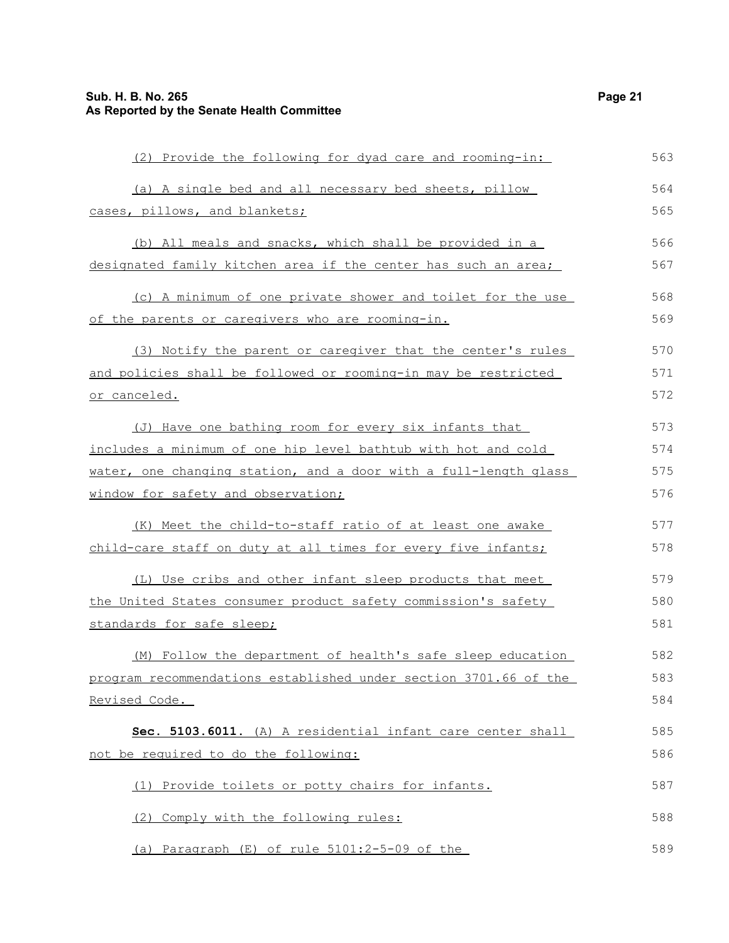| (2) Provide the following for dyad care and rooming-in:          | 563 |
|------------------------------------------------------------------|-----|
| (a) A single bed and all necessary bed sheets, pillow            | 564 |
| cases, pillows, and blankets;                                    | 565 |
| (b) All meals and snacks, which shall be provided in a           | 566 |
| designated family kitchen area if the center has such an area;   | 567 |
| (c) A minimum of one private shower and toilet for the use       | 568 |
| of the parents or caregivers who are rooming-in.                 | 569 |
| (3) Notify the parent or caregiver that the center's rules       | 570 |
| and policies shall be followed or rooming-in may be restricted   | 571 |
| or canceled.                                                     | 572 |
| (J) Have one bathing room for every six infants that             | 573 |
| includes a minimum of one hip level bathtub with hot and cold    | 574 |
| water, one changing station, and a door with a full-length glass | 575 |
| window for safety and observation;                               | 576 |
| <u>(K) Meet the child-to-staff ratio of at least one awake</u>   | 577 |
| child-care staff on duty at all times for every five infants;    | 578 |
| (L) Use cribs and other infant sleep products that meet          | 579 |
| the United States consumer product safety commission's safety    | 580 |
| standards for safe sleep;                                        | 581 |
| (M) Follow the department of health's safe sleep education       | 582 |
| program recommendations established under section 3701.66 of the | 583 |
| Revised Code.                                                    | 584 |
| Sec. 5103.6011. (A) A residential infant care center shall       | 585 |
| not be required to do the following:                             | 586 |
| (1) Provide toilets or potty chairs for infants.                 | 587 |
| (2) Comply with the following rules:                             | 588 |
| (a) Paragraph (E) of rule 5101:2-5-09 of the                     | 589 |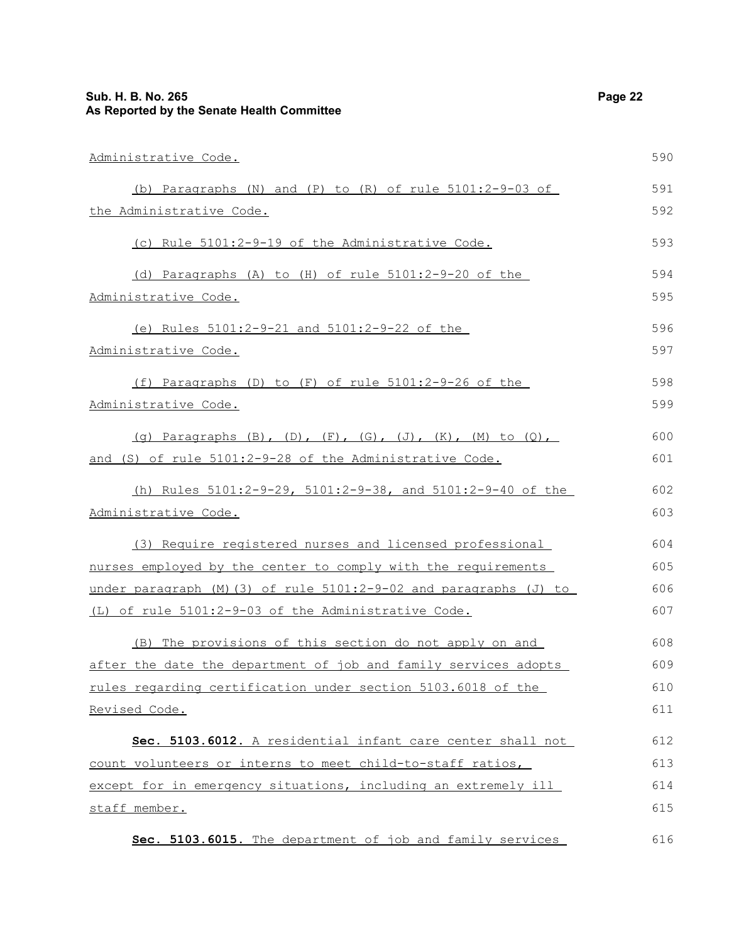## **Sub. H. B. No. 265 Page 22 As Reported by the Senate Health Committee**

| <u> Administrative Code.</u>                                                    | 590 |
|---------------------------------------------------------------------------------|-----|
| (b) Paragraphs (N) and (P) to (R) of rule $5101:2-9-03$ of                      | 591 |
| the Administrative Code.                                                        | 592 |
| (c) Rule 5101:2-9-19 of the Administrative Code.                                | 593 |
| (d) Paragraphs (A) to (H) of rule $5101:2-9-20$ of the                          | 594 |
| <u>Administrative Code.</u>                                                     | 595 |
| (e) Rules 5101:2-9-21 and 5101:2-9-22 of the                                    | 596 |
| <u>Administrative Code.</u>                                                     | 597 |
| (f) Paragraphs (D) to $(F)$ of rule $5101:2-9-26$ of the                        | 598 |
| <u> Administrative Code.</u>                                                    | 599 |
| (g) Paragraphs $(B)$ , $(D)$ , $(F)$ , $(G)$ , $(J)$ , $(K)$ , $(M)$ to $(Q)$ , | 600 |
| and (S) of rule 5101:2-9-28 of the Administrative Code.                         | 601 |
| (h) Rules 5101:2-9-29, 5101:2-9-38, and 5101:2-9-40 of the                      | 602 |
| <u>Administrative Code.</u>                                                     | 603 |
| (3) Require registered nurses and licensed professional                         | 604 |
| nurses employed by the center to comply with the requirements                   | 605 |
| under paragraph (M) (3) of rule 5101:2-9-02 and paragraphs (J) to               | 606 |
| (L) of rule 5101:2-9-03 of the Administrative Code.                             | 607 |
| (B) The provisions of this section do not apply on and                          | 608 |
| after the date the department of job and family services adopts                 | 609 |
| rules regarding certification under section 5103.6018 of the                    | 610 |
| <u>Revised Code.</u>                                                            | 611 |
| Sec. 5103.6012. A residential infant care center shall not                      | 612 |
| count volunteers or interns to meet child-to-staff ratios,                      | 613 |
| except for in emergency situations, including an extremely ill                  | 614 |
| staff member.                                                                   | 615 |
| Sec. 5103.6015. The department of job and family services                       | 616 |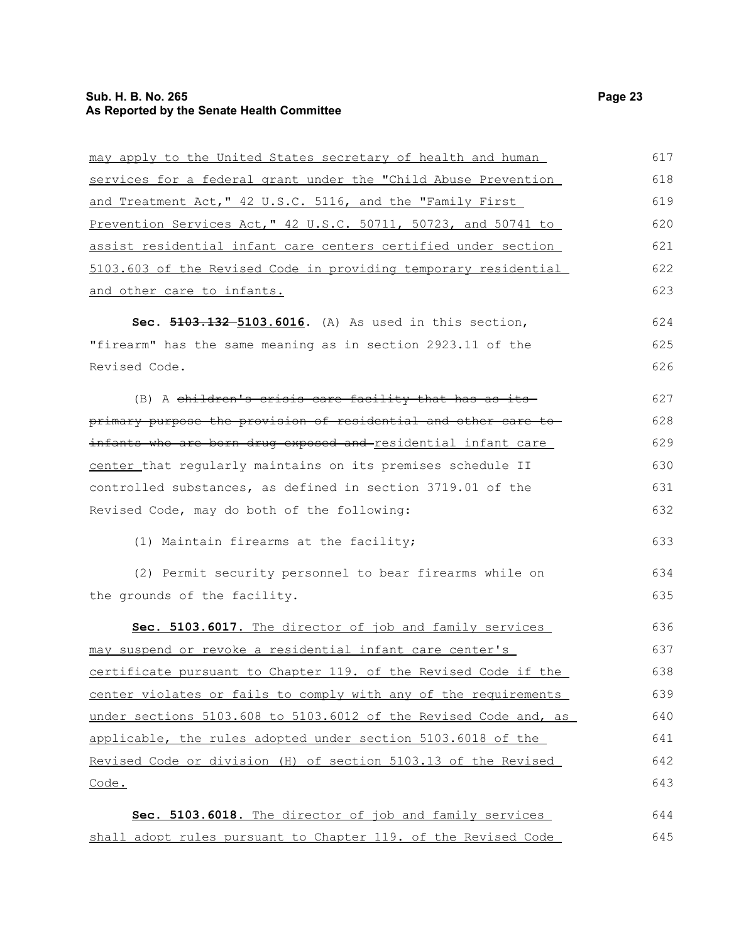| may apply to the United States secretary of health and human     | 617 |
|------------------------------------------------------------------|-----|
| services for a federal grant under the "Child Abuse Prevention   | 618 |
| and Treatment Act, " 42 U.S.C. 5116, and the "Family First       | 619 |
| Prevention Services Act," 42 U.S.C. 50711, 50723, and 50741 to   | 620 |
| assist residential infant care centers certified under section   | 621 |
| 5103.603 of the Revised Code in providing temporary residential  | 622 |
| and other care to infants.                                       | 623 |
| Sec. 5103.132-5103.6016. (A) As used in this section,            | 624 |
| "firearm" has the same meaning as in section 2923.11 of the      | 625 |
| Revised Code.                                                    | 626 |
| (B) A children's crisis care facility that has as its-           | 627 |
| primary purpose the provision of residential and other care to   | 628 |
| infants who are born drug exposed and-residential infant care    | 629 |
| center_that regularly maintains on its premises schedule II      | 630 |
| controlled substances, as defined in section 3719.01 of the      | 631 |
| Revised Code, may do both of the following:                      | 632 |
| (1) Maintain firearms at the facility;                           | 633 |
| (2) Permit security personnel to bear firearms while on          | 634 |
| the grounds of the facility.                                     | 635 |
| Sec. 5103.6017. The director of job and family services          | 636 |
| may suspend or revoke a residential infant care center's         | 637 |
| certificate pursuant to Chapter 119. of the Revised Code if the  | 638 |
| center violates or fails to comply with any of the requirements  | 639 |
| under sections 5103.608 to 5103.6012 of the Revised Code and, as | 640 |
| applicable, the rules adopted under section 5103.6018 of the     | 641 |
| Revised Code or division (H) of section 5103.13 of the Revised   | 642 |
| Code.                                                            | 643 |
| Sec. 5103.6018. The director of job and family services          | 644 |

shall adopt rules pursuant to Chapter 119. of the Revised Code 645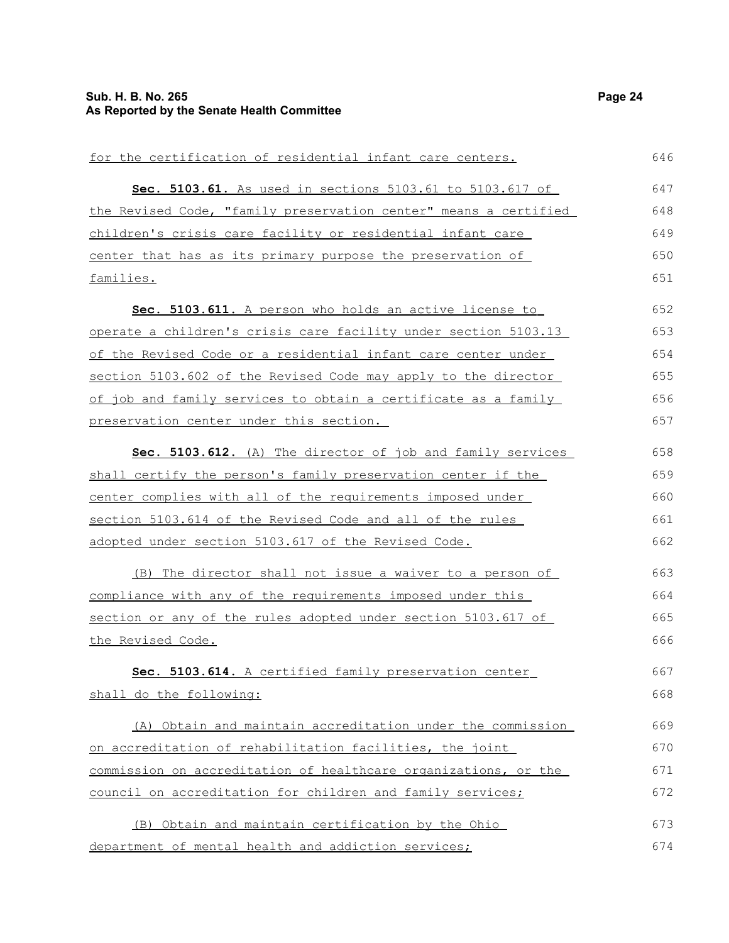| for the certification of residential infant care centers.        | 646 |
|------------------------------------------------------------------|-----|
| Sec. 5103.61. As used in sections 5103.61 to 5103.617 of         | 647 |
| the Revised Code, "family preservation center" means a certified | 648 |
| children's crisis care facility or residential infant care       | 649 |
| center that has as its primary purpose the preservation of       | 650 |
| families.                                                        | 651 |
| Sec. 5103.611. A person who holds an active license to           | 652 |
| operate a children's crisis care facility under section 5103.13  | 653 |
| of the Revised Code or a residential infant care center under    | 654 |
| section 5103.602 of the Revised Code may apply to the director   | 655 |
| of job and family services to obtain a certificate as a family   | 656 |
| preservation center under this section.                          | 657 |
| Sec. 5103.612. (A) The director of job and family services       | 658 |
| shall certify the person's family preservation center if the     | 659 |
| center complies with all of the requirements imposed under       | 660 |
| section 5103.614 of the Revised Code and all of the rules        | 661 |
| adopted under section 5103.617 of the Revised Code.              | 662 |
| (B) The director shall not issue a waiver to a person of         | 663 |
| compliance with any of the requirements imposed under this       | 664 |
| section or any of the rules adopted under section 5103.617 of    | 665 |
| the Revised Code.                                                | 666 |
| Sec. 5103.614. A certified family preservation center            | 667 |
| shall do the following:                                          | 668 |
| (A) Obtain and maintain accreditation under the commission       | 669 |
| on accreditation of rehabilitation facilities, the joint         | 670 |
| commission on accreditation of healthcare organizations, or the  | 671 |
| council on accreditation for children and family services;       | 672 |
| (B) Obtain and maintain certification by the Ohio                | 673 |
| department of mental health and addiction services;              | 674 |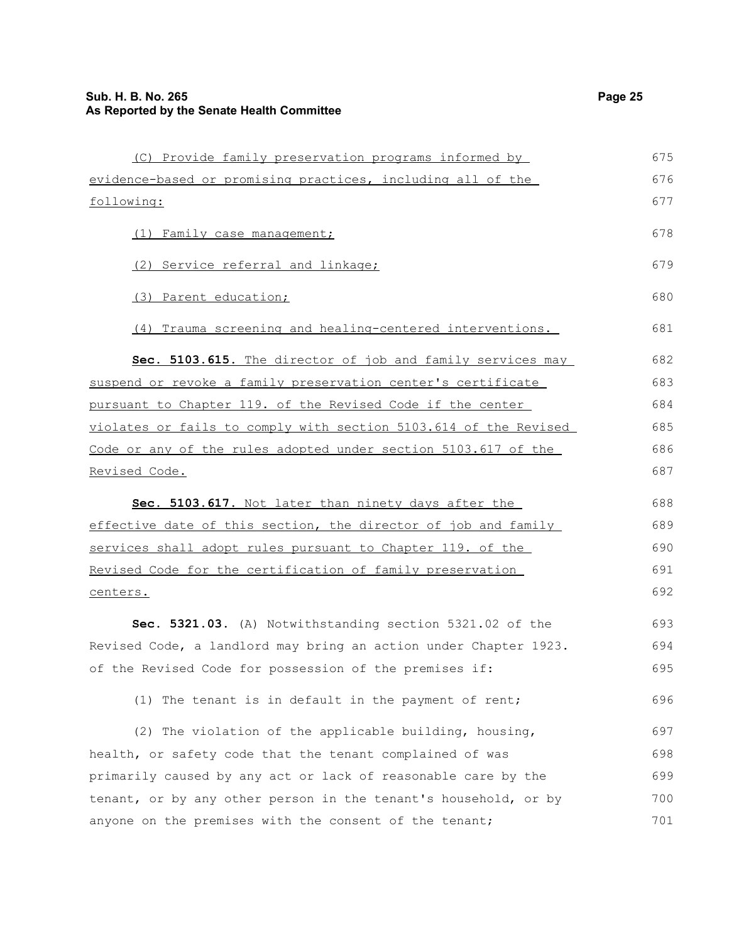| (C) Provide family preservation programs informed by             | 675 |
|------------------------------------------------------------------|-----|
| evidence-based or promising practices, including all of the      | 676 |
| following:                                                       | 677 |
| (1) Family case management;                                      | 678 |
| (2) Service referral and linkage;                                | 679 |
| (3) Parent education;                                            | 680 |
| (4) Trauma screening and healing-centered interventions.         | 681 |
| Sec. 5103.615. The director of job and family services may       | 682 |
| suspend or revoke a family preservation center's certificate     | 683 |
| pursuant to Chapter 119. of the Revised Code if the center       | 684 |
| violates or fails to comply with section 5103.614 of the Revised | 685 |
| Code or any of the rules adopted under section 5103.617 of the   | 686 |
| Revised Code.                                                    | 687 |
| Sec. 5103.617. Not later than ninety days after the              | 688 |
| effective date of this section, the director of job and family   | 689 |
| services shall adopt rules pursuant to Chapter 119. of the       | 690 |
| Revised Code for the certification of family preservation        | 691 |
| centers.                                                         | 692 |
| Sec. 5321.03. (A) Notwithstanding section 5321.02 of the         | 693 |
| Revised Code, a landlord may bring an action under Chapter 1923. | 694 |
| of the Revised Code for possession of the premises if:           | 695 |
| (1) The tenant is in default in the payment of rent;             | 696 |
|                                                                  |     |
| (2) The violation of the applicable building, housing,           | 697 |
| health, or safety code that the tenant complained of was         | 698 |
| primarily caused by any act or lack of reasonable care by the    | 699 |
| tenant, or by any other person in the tenant's household, or by  | 700 |
| anyone on the premises with the consent of the tenant;           | 701 |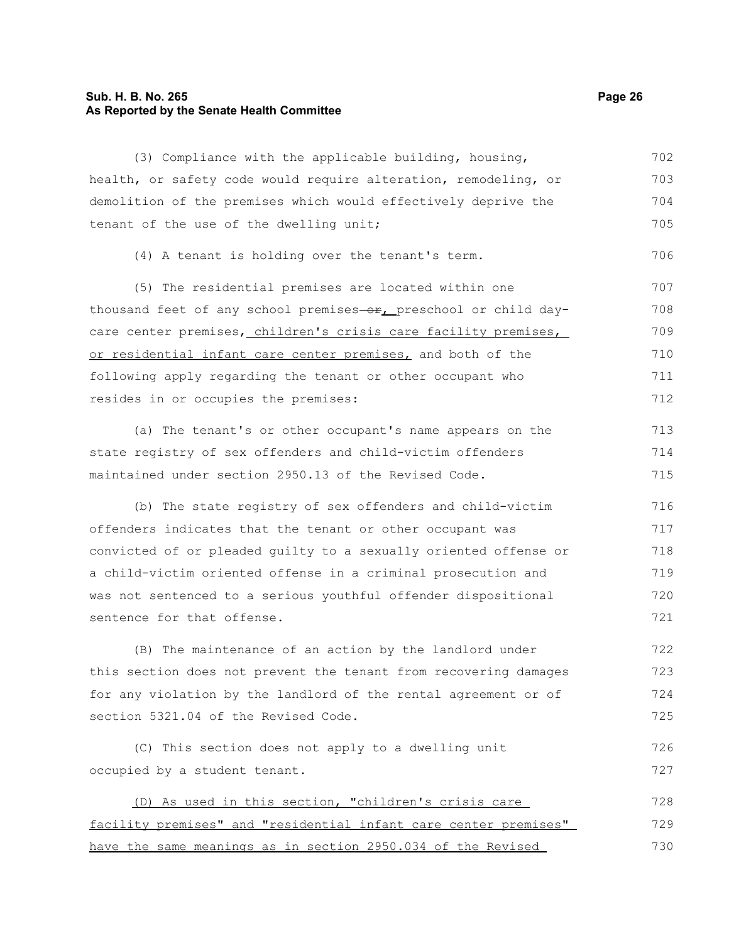### **Sub. H. B. No. 265 Page 26 As Reported by the Senate Health Committee**

(3) Compliance with the applicable building, housing, health, or safety code would require alteration, remodeling, or demolition of the premises which would effectively deprive the tenant of the use of the dwelling unit; 702 703 704 705

```
(4) A tenant is holding over the tenant's term.
```
(5) The residential premises are located within one thousand feet of any school premises-or, preschool or child daycare center premises, children's crisis care facility premises, or residential infant care center premises, and both of the following apply regarding the tenant or other occupant who resides in or occupies the premises: 707 708 709 710 711 712

(a) The tenant's or other occupant's name appears on the state registry of sex offenders and child-victim offenders maintained under section 2950.13 of the Revised Code. 713 714 715

(b) The state registry of sex offenders and child-victim offenders indicates that the tenant or other occupant was convicted of or pleaded guilty to a sexually oriented offense or a child-victim oriented offense in a criminal prosecution and was not sentenced to a serious youthful offender dispositional sentence for that offense. 716 717 718 719 720 721

(B) The maintenance of an action by the landlord under this section does not prevent the tenant from recovering damages for any violation by the landlord of the rental agreement or of section 5321.04 of the Revised Code. 722 723 724 725

(C) This section does not apply to a dwelling unit occupied by a student tenant. 726 727

(D) As used in this section, "children's crisis care facility premises" and "residential infant care center premises" have the same meanings as in section 2950.034 of the Revised 728 729 730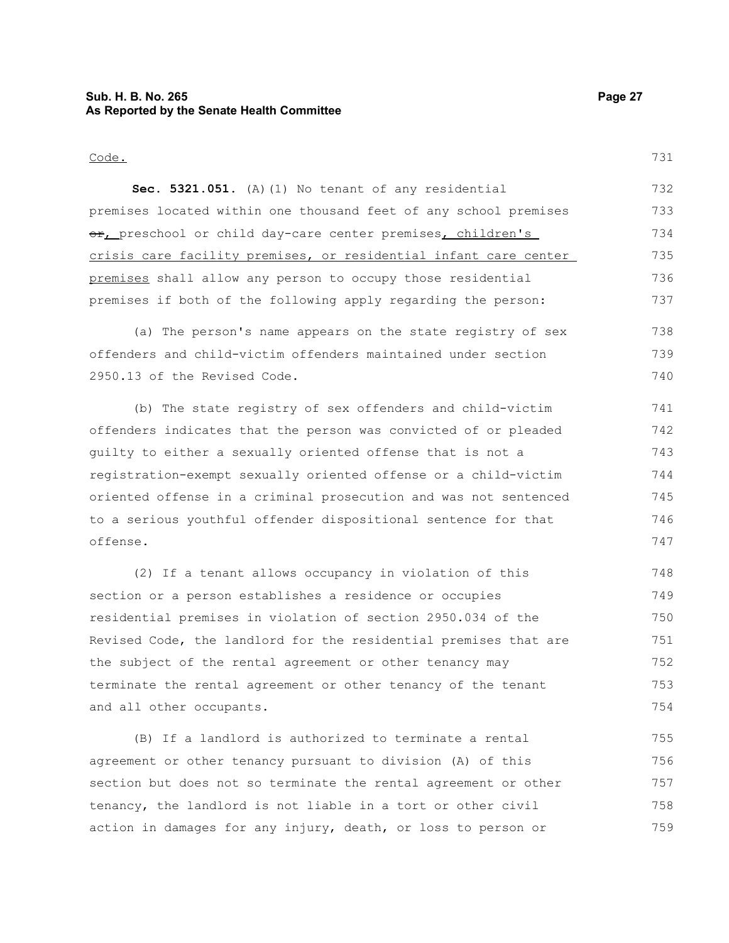### **Sub. H. B. No. 265 Page 27 As Reported by the Senate Health Committee**

#### Code.

**Sec. 5321.051.** (A)(1) No tenant of any residential premises located within one thousand feet of any school premises or, preschool or child day-care center premises, children's crisis care facility premises, or residential infant care center premises shall allow any person to occupy those residential premises if both of the following apply regarding the person: 732 733 734 735 736 737

(a) The person's name appears on the state registry of sex offenders and child-victim offenders maintained under section 2950.13 of the Revised Code. 738 739 740

(b) The state registry of sex offenders and child-victim offenders indicates that the person was convicted of or pleaded guilty to either a sexually oriented offense that is not a registration-exempt sexually oriented offense or a child-victim oriented offense in a criminal prosecution and was not sentenced to a serious youthful offender dispositional sentence for that offense. 741 742 743 744 745 746 747

(2) If a tenant allows occupancy in violation of this section or a person establishes a residence or occupies residential premises in violation of section 2950.034 of the Revised Code, the landlord for the residential premises that are the subject of the rental agreement or other tenancy may terminate the rental agreement or other tenancy of the tenant and all other occupants. 748 749 750 751 752 753 754

(B) If a landlord is authorized to terminate a rental agreement or other tenancy pursuant to division (A) of this section but does not so terminate the rental agreement or other tenancy, the landlord is not liable in a tort or other civil action in damages for any injury, death, or loss to person or 755 756 757 758 759